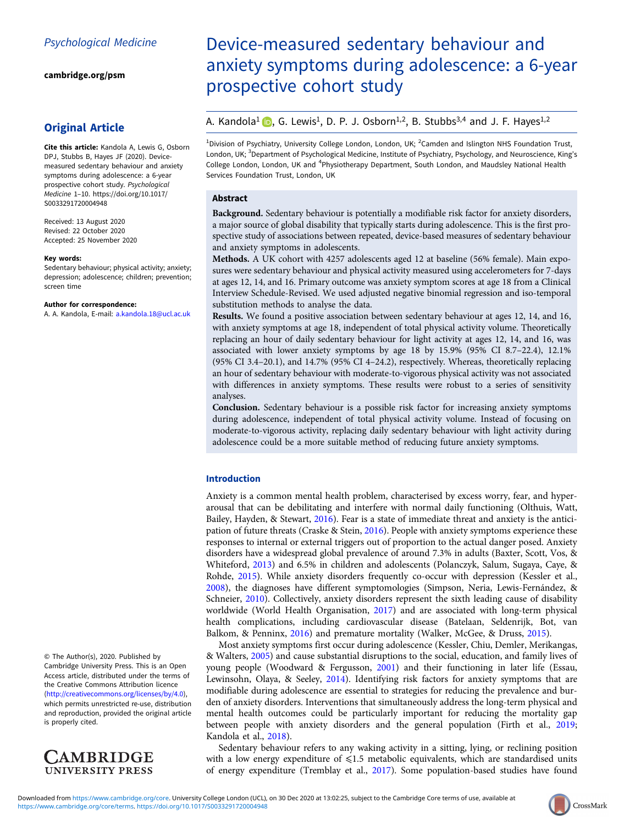[cambridge.org/psm](https://www.cambridge.org/psm)

# Original Article

Cite this article: Kandola A, Lewis G, Osborn DPJ, Stubbs B, Hayes JF (2020). Devicemeasured sedentary behaviour and anxiety symptoms during adolescence: a 6-year prospective cohort study. Psychological Medicine 1–10. [https://doi.org/10.1017/](https://doi.org/10.1017/S0033291720004948) [S0033291720004948](https://doi.org/10.1017/S0033291720004948)

Received: 13 August 2020 Revised: 22 October 2020 Accepted: 25 November 2020

#### Key words:

Sedentary behaviour; physical activity; anxiety; depression; adolescence; children; prevention; screen time

#### Author for correspondence:

A. A. Kandola, E-mail: [a.kandola.18@ucl.ac.uk](mailto:a.kandola.18@ucl.ac.uk)

© The Author(s), 2020. Published by Cambridge University Press. This is an Open Access article, distributed under the terms of the Creative Commons Attribution licence (<http://creativecommons.org/licenses/by/4.0>), which permits unrestricted re-use, distribution and reproduction, provided the original article is properly cited.



# Device-measured sedentary behaviour and anxiety symptoms during adolescence: a 6-year prospective cohort study

# A. Kandola<sup>1</sup> **D**[,](https://orcid.org/0000-0002-2334-9235) G. Lewis<sup>1</sup>, D. P. J. Osborn<sup>1,2</sup>, B. Stubbs<sup>3,4</sup> and J. F. Hayes<sup>1,2</sup>

<sup>1</sup>Division of Psychiatry, University College London, London, UK; <sup>2</sup>Camden and Islington NHS Foundation Trust, London, UK; <sup>3</sup>Department of Psychological Medicine, Institute of Psychiatry, Psychology, and Neuroscience, King's College London, London, UK and <sup>4</sup>Physiotherapy Department, South London, and Maudsley National Health Services Foundation Trust, London, UK

## Abstract

Background. Sedentary behaviour is potentially a modifiable risk factor for anxiety disorders, a major source of global disability that typically starts during adolescence. This is the first prospective study of associations between repeated, device-based measures of sedentary behaviour and anxiety symptoms in adolescents.

Methods. A UK cohort with 4257 adolescents aged 12 at baseline (56% female). Main exposures were sedentary behaviour and physical activity measured using accelerometers for 7-days at ages 12, 14, and 16. Primary outcome was anxiety symptom scores at age 18 from a Clinical Interview Schedule-Revised. We used adjusted negative binomial regression and iso-temporal substitution methods to analyse the data.

Results. We found a positive association between sedentary behaviour at ages 12, 14, and 16, with anxiety symptoms at age 18, independent of total physical activity volume. Theoretically replacing an hour of daily sedentary behaviour for light activity at ages 12, 14, and 16, was associated with lower anxiety symptoms by age 18 by 15.9% (95% CI 8.7–22.4), 12.1% (95% CI 3.4–20.1), and 14.7% (95% CI 4–24.2), respectively. Whereas, theoretically replacing an hour of sedentary behaviour with moderate-to-vigorous physical activity was not associated with differences in anxiety symptoms. These results were robust to a series of sensitivity analyses.

Conclusion. Sedentary behaviour is a possible risk factor for increasing anxiety symptoms during adolescence, independent of total physical activity volume. Instead of focusing on moderate-to-vigorous activity, replacing daily sedentary behaviour with light activity during adolescence could be a more suitable method of reducing future anxiety symptoms.

# Introduction

Anxiety is a common mental health problem, characterised by excess worry, fear, and hyperarousal that can be debilitating and interfere with normal daily functioning (Olthuis, Watt, Bailey, Hayden, & Stewart, [2016\)](#page-8-0). Fear is a state of immediate threat and anxiety is the anticipation of future threats (Craske & Stein, [2016](#page-7-0)). People with anxiety symptoms experience these responses to internal or external triggers out of proportion to the actual danger posed. Anxiety disorders have a widespread global prevalence of around 7.3% in adults (Baxter, Scott, Vos, & Whiteford, [2013\)](#page-7-0) and 6.5% in children and adolescents (Polanczyk, Salum, Sugaya, Caye, & Rohde, [2015](#page-8-0)). While anxiety disorders frequently co-occur with depression (Kessler et al., [2008\)](#page-8-0), the diagnoses have different symptomologies (Simpson, Neria, Lewis-Fernández, & Schneier, [2010](#page-8-0)). Collectively, anxiety disorders represent the sixth leading cause of disability worldwide (World Health Organisation, [2017](#page-9-0)) and are associated with long-term physical health complications, including cardiovascular disease (Batelaan, Seldenrijk, Bot, van Balkom, & Penninx, [2016\)](#page-7-0) and premature mortality (Walker, McGee, & Druss, [2015\)](#page-9-0).

Most anxiety symptoms first occur during adolescence (Kessler, Chiu, Demler, Merikangas, & Walters, [2005\)](#page-8-0) and cause substantial disruptions to the social, education, and family lives of young people (Woodward & Fergusson, [2001\)](#page-9-0) and their functioning in later life (Essau, Lewinsohn, Olaya, & Seeley, [2014](#page-7-0)). Identifying risk factors for anxiety symptoms that are modifiable during adolescence are essential to strategies for reducing the prevalence and burden of anxiety disorders. Interventions that simultaneously address the long-term physical and mental health outcomes could be particularly important for reducing the mortality gap between people with anxiety disorders and the general population (Firth et al., [2019](#page-7-0); Kandola et al., [2018\)](#page-8-0).

Sedentary behaviour refers to any waking activity in a sitting, lying, or reclining position with a low energy expenditure of  $\leq 1.5$  metabolic equivalents, which are standardised units of energy expenditure (Tremblay et al., [2017](#page-9-0)). Some population-based studies have found

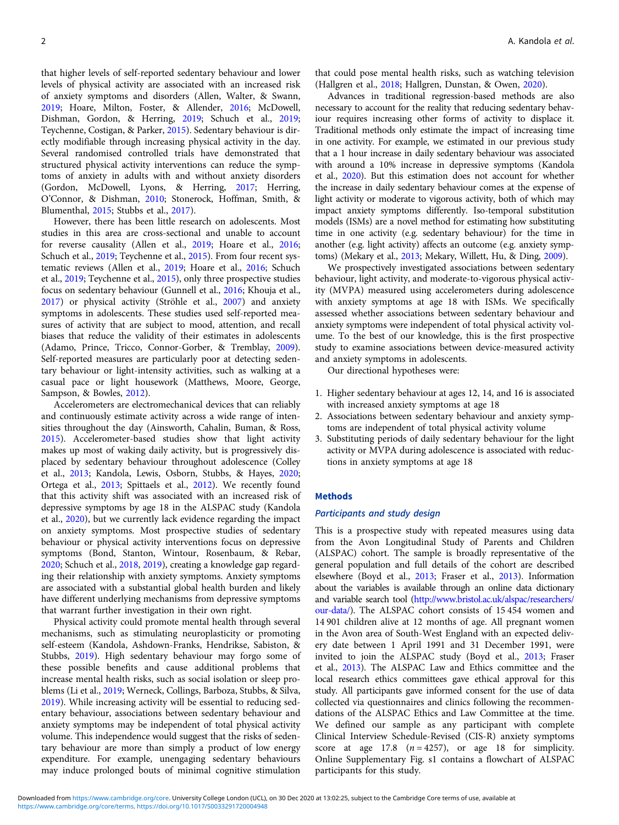that higher levels of self-reported sedentary behaviour and lower levels of physical activity are associated with an increased risk of anxiety symptoms and disorders (Allen, Walter, & Swann, [2019;](#page-7-0) Hoare, Milton, Foster, & Allender, [2016](#page-8-0); McDowell, Dishman, Gordon, & Herring, [2019;](#page-8-0) Schuch et al., [2019](#page-8-0); Teychenne, Costigan, & Parker, [2015](#page-9-0)). Sedentary behaviour is directly modifiable through increasing physical activity in the day. Several randomised controlled trials have demonstrated that structured physical activity interventions can reduce the symptoms of anxiety in adults with and without anxiety disorders (Gordon, McDowell, Lyons, & Herring, [2017](#page-8-0); Herring, O'Connor, & Dishman, [2010](#page-8-0); Stonerock, Hoffman, Smith, & Blumenthal, [2015](#page-8-0); Stubbs et al., [2017](#page-9-0)).

However, there has been little research on adolescents. Most studies in this area are cross-sectional and unable to account for reverse causality (Allen et al., [2019](#page-7-0); Hoare et al., [2016](#page-8-0); Schuch et al., [2019;](#page-8-0) Teychenne et al., [2015\)](#page-9-0). From four recent systematic reviews (Allen et al., [2019;](#page-7-0) Hoare et al., [2016](#page-8-0); Schuch et al., [2019](#page-8-0); Teychenne et al., [2015](#page-9-0)), only three prospective studies focus on sedentary behaviour (Gunnell et al., [2016](#page-8-0); Khouja et al., [2017\)](#page-8-0) or physical activity (Ströhle et al., [2007\)](#page-9-0) and anxiety symptoms in adolescents. These studies used self-reported measures of activity that are subject to mood, attention, and recall biases that reduce the validity of their estimates in adolescents (Adamo, Prince, Tricco, Connor-Gorber, & Tremblay, [2009\)](#page-7-0). Self-reported measures are particularly poor at detecting sedentary behaviour or light-intensity activities, such as walking at a casual pace or light housework (Matthews, Moore, George, Sampson, & Bowles, [2012](#page-8-0)).

Accelerometers are electromechanical devices that can reliably and continuously estimate activity across a wide range of intensities throughout the day (Ainsworth, Cahalin, Buman, & Ross, [2015\)](#page-7-0). Accelerometer-based studies show that light activity makes up most of waking daily activity, but is progressively displaced by sedentary behaviour throughout adolescence (Colley et al., [2013](#page-7-0); Kandola, Lewis, Osborn, Stubbs, & Hayes, [2020](#page-8-0); Ortega et al., [2013;](#page-8-0) Spittaels et al., [2012](#page-8-0)). We recently found that this activity shift was associated with an increased risk of depressive symptoms by age 18 in the ALSPAC study (Kandola et al., [2020](#page-8-0)), but we currently lack evidence regarding the impact on anxiety symptoms. Most prospective studies of sedentary behaviour or physical activity interventions focus on depressive symptoms (Bond, Stanton, Wintour, Rosenbaum, & Rebar, [2020;](#page-7-0) Schuch et al., [2018](#page-8-0), [2019\)](#page-8-0), creating a knowledge gap regarding their relationship with anxiety symptoms. Anxiety symptoms are associated with a substantial global health burden and likely have different underlying mechanisms from depressive symptoms that warrant further investigation in their own right.

Physical activity could promote mental health through several mechanisms, such as stimulating neuroplasticity or promoting self-esteem (Kandola, Ashdown-Franks, Hendrikse, Sabiston, & Stubbs, [2019](#page-8-0)). High sedentary behaviour may forgo some of these possible benefits and cause additional problems that increase mental health risks, such as social isolation or sleep problems (Li et al., [2019](#page-8-0); Werneck, Collings, Barboza, Stubbs, & Silva, [2019\)](#page-9-0). While increasing activity will be essential to reducing sedentary behaviour, associations between sedentary behaviour and anxiety symptoms may be independent of total physical activity volume. This independence would suggest that the risks of sedentary behaviour are more than simply a product of low energy expenditure. For example, unengaging sedentary behaviours may induce prolonged bouts of minimal cognitive stimulation

that could pose mental health risks, such as watching television (Hallgren et al., [2018;](#page-8-0) Hallgren, Dunstan, & Owen, [2020\)](#page-8-0).

Advances in traditional regression-based methods are also necessary to account for the reality that reducing sedentary behaviour requires increasing other forms of activity to displace it. Traditional methods only estimate the impact of increasing time in one activity. For example, we estimated in our previous study that a 1 hour increase in daily sedentary behaviour was associated with around a 10% increase in depressive symptoms (Kandola et al., [2020](#page-8-0)). But this estimation does not account for whether the increase in daily sedentary behaviour comes at the expense of light activity or moderate to vigorous activity, both of which may impact anxiety symptoms differently. Iso-temporal substitution models (ISMs) are a novel method for estimating how substituting time in one activity (e.g. sedentary behaviour) for the time in another (e.g. light activity) affects an outcome (e.g. anxiety symptoms) (Mekary et al., [2013;](#page-8-0) Mekary, Willett, Hu, & Ding, [2009](#page-8-0)).

We prospectively investigated associations between sedentary behaviour, light activity, and moderate-to-vigorous physical activity (MVPA) measured using accelerometers during adolescence with anxiety symptoms at age 18 with ISMs. We specifically assessed whether associations between sedentary behaviour and anxiety symptoms were independent of total physical activity volume. To the best of our knowledge, this is the first prospective study to examine associations between device-measured activity and anxiety symptoms in adolescents.

Our directional hypotheses were:

- 1. Higher sedentary behaviour at ages 12, 14, and 16 is associated with increased anxiety symptoms at age 18
- 2. Associations between sedentary behaviour and anxiety symptoms are independent of total physical activity volume
- 3. Substituting periods of daily sedentary behaviour for the light activity or MVPA during adolescence is associated with reductions in anxiety symptoms at age 18

# **Methods**

## Participants and study design

This is a prospective study with repeated measures using data from the Avon Longitudinal Study of Parents and Children (ALSPAC) cohort. The sample is broadly representative of the general population and full details of the cohort are described elsewhere (Boyd et al., [2013;](#page-7-0) Fraser et al., [2013\)](#page-7-0). Information about the variables is available through an online data dictionary and variable search tool [\(http://www.bristol.ac.uk/alspac/researchers/](http://www.bristol.ac.uk/alspac/researchers/our-data/) [our-data/\)](http://www.bristol.ac.uk/alspac/researchers/our-data/). The ALSPAC cohort consists of 15 454 women and 14 901 children alive at 12 months of age. All pregnant women in the Avon area of South-West England with an expected delivery date between 1 April 1991 and 31 December 1991, were invited to join the ALSPAC study (Boyd et al., [2013;](#page-7-0) Fraser et al., [2013](#page-7-0)). The ALSPAC Law and Ethics committee and the local research ethics committees gave ethical approval for this study. All participants gave informed consent for the use of data collected via questionnaires and clinics following the recommendations of the ALSPAC Ethics and Law Committee at the time. We defined our sample as any participant with complete Clinical Interview Schedule-Revised (CIS-R) anxiety symptoms score at age 17.8  $(n = 4257)$ , or age 18 for simplicity. Online Supplementary Fig. s1 contains a flowchart of ALSPAC participants for this study.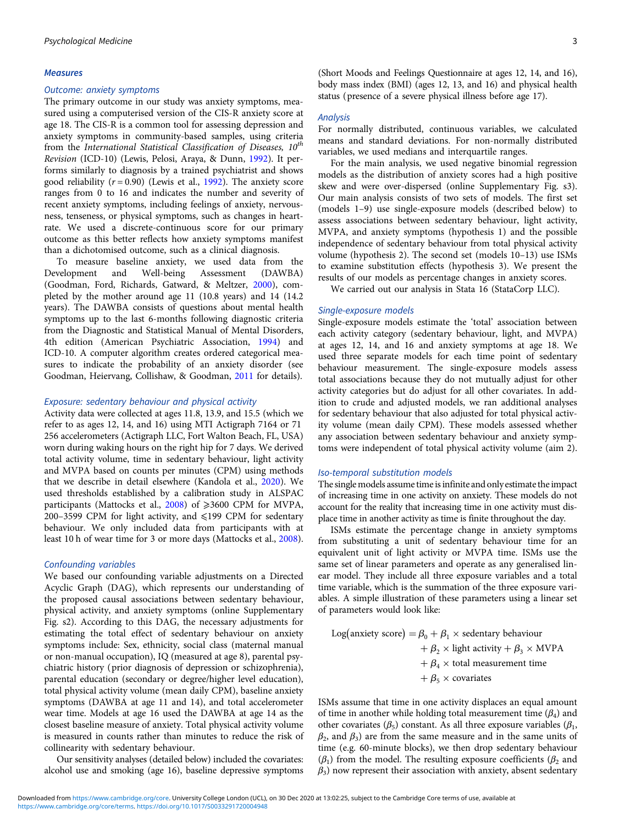#### **Measures**

#### Outcome: anxiety symptoms

The primary outcome in our study was anxiety symptoms, measured using a computerised version of the CIS-R anxiety score at age 18. The CIS-R is a common tool for assessing depression and anxiety symptoms in community-based samples, using criteria from the International Statistical Classification of Diseases,  $10^{th}$ Revision (ICD-10) (Lewis, Pelosi, Araya, & Dunn, [1992\)](#page-8-0). It performs similarly to diagnosis by a trained psychiatrist and shows good reliability ( $r = 0.90$ ) (Lewis et al., [1992](#page-8-0)). The anxiety score ranges from 0 to 16 and indicates the number and severity of recent anxiety symptoms, including feelings of anxiety, nervousness, tenseness, or physical symptoms, such as changes in heartrate. We used a discrete-continuous score for our primary outcome as this better reflects how anxiety symptoms manifest than a dichotomised outcome, such as a clinical diagnosis.

To measure baseline anxiety, we used data from the Development and Well-being Assessment (DAWBA) (Goodman, Ford, Richards, Gatward, & Meltzer, [2000\)](#page-7-0), completed by the mother around age 11 (10.8 years) and 14 (14.2 years). The DAWBA consists of questions about mental health symptoms up to the last 6-months following diagnostic criteria from the Diagnostic and Statistical Manual of Mental Disorders, 4th edition (American Psychiatric Association, [1994\)](#page-7-0) and ICD-10. A computer algorithm creates ordered categorical measures to indicate the probability of an anxiety disorder (see Goodman, Heiervang, Collishaw, & Goodman, [2011](#page-8-0) for details).

#### Exposure: sedentary behaviour and physical activity

Activity data were collected at ages 11.8, 13.9, and 15.5 (which we refer to as ages 12, 14, and 16) using MTI Actigraph 7164 or 71 256 accelerometers (Actigraph LLC, Fort Walton Beach, FL, USA) worn during waking hours on the right hip for 7 days. We derived total activity volume, time in sedentary behaviour, light activity and MVPA based on counts per minutes (CPM) using methods that we describe in detail elsewhere (Kandola et al., [2020\)](#page-8-0). We used thresholds established by a calibration study in ALSPAC participants (Mattocks et al.,  $2008$ ) of  $\geq 3600$  CPM for MVPA, 200–3599 CPM for light activity, and  $\leq 199$  CPM for sedentary behaviour. We only included data from participants with at least 10 h of wear time for 3 or more days (Mattocks et al., [2008\)](#page-8-0).

## Confounding variables

We based our confounding variable adjustments on a Directed Acyclic Graph (DAG), which represents our understanding of the proposed causal associations between sedentary behaviour, physical activity, and anxiety symptoms (online Supplementary Fig. s2). According to this DAG, the necessary adjustments for estimating the total effect of sedentary behaviour on anxiety symptoms include: Sex, ethnicity, social class (maternal manual or non-manual occupation), IQ (measured at age 8), parental psychiatric history (prior diagnosis of depression or schizophrenia), parental education (secondary or degree/higher level education), total physical activity volume (mean daily CPM), baseline anxiety symptoms (DAWBA at age 11 and 14), and total accelerometer wear time. Models at age 16 used the DAWBA at age 14 as the closest baseline measure of anxiety. Total physical activity volume is measured in counts rather than minutes to reduce the risk of collinearity with sedentary behaviour.

Our sensitivity analyses (detailed below) included the covariates: alcohol use and smoking (age 16), baseline depressive symptoms

(Short Moods and Feelings Questionnaire at ages 12, 14, and 16), body mass index (BMI) (ages 12, 13, and 16) and physical health status (presence of a severe physical illness before age 17).

#### Analysis

For normally distributed, continuous variables, we calculated means and standard deviations. For non-normally distributed variables, we used medians and interquartile ranges.

For the main analysis, we used negative binomial regression models as the distribution of anxiety scores had a high positive skew and were over-dispersed (online Supplementary Fig. s3). Our main analysis consists of two sets of models. The first set (models 1–9) use single-exposure models (described below) to assess associations between sedentary behaviour, light activity, MVPA, and anxiety symptoms (hypothesis 1) and the possible independence of sedentary behaviour from total physical activity volume (hypothesis 2). The second set (models 10–13) use ISMs to examine substitution effects (hypothesis 3). We present the results of our models as percentage changes in anxiety scores.

We carried out our analysis in Stata 16 (StataCorp LLC).

#### Single-exposure models

Single-exposure models estimate the 'total' association between each activity category (sedentary behaviour, light, and MVPA) at ages 12, 14, and 16 and anxiety symptoms at age 18. We used three separate models for each time point of sedentary behaviour measurement. The single-exposure models assess total associations because they do not mutually adjust for other activity categories but do adjust for all other covariates. In addition to crude and adjusted models, we ran additional analyses for sedentary behaviour that also adjusted for total physical activity volume (mean daily CPM). These models assessed whether any association between sedentary behaviour and anxiety symptoms were independent of total physical activity volume (aim 2).

## Iso-temporal substitution models

The single models assume time is infinite and onlyestimate the impact of increasing time in one activity on anxiety. These models do not account for the reality that increasing time in one activity must displace time in another activity as time is finite throughout the day.

ISMs estimate the percentage change in anxiety symptoms from substituting a unit of sedentary behaviour time for an equivalent unit of light activity or MVPA time. ISMs use the same set of linear parameters and operate as any generalised linear model. They include all three exposure variables and a total time variable, which is the summation of the three exposure variables. A simple illustration of these parameters using a linear set of parameters would look like:

Log(anxiety score) =  $\beta_0 + \beta_1 \times$  sedentary behaviour +  $\beta_2$  × light activity +  $\beta_3$  × MVPA  $+ \beta_4 \times$  total measurement time +  $\beta$ <sub>5</sub> × covariates

ISMs assume that time in one activity displaces an equal amount of time in another while holding total measurement time  $(\beta_4)$  and other covariates ( $\beta_5$ ) constant. As all three exposure variables ( $\beta_1$ ,  $\beta_2$ , and  $\beta_3$ ) are from the same measure and in the same units of time (e.g. 60-minute blocks), we then drop sedentary behaviour ( $β$ <sub>1</sub>) from the model. The resulting exposure coefficients ( $β$ <sub>2</sub> and  $\beta_3$ ) now represent their association with anxiety, absent sedentary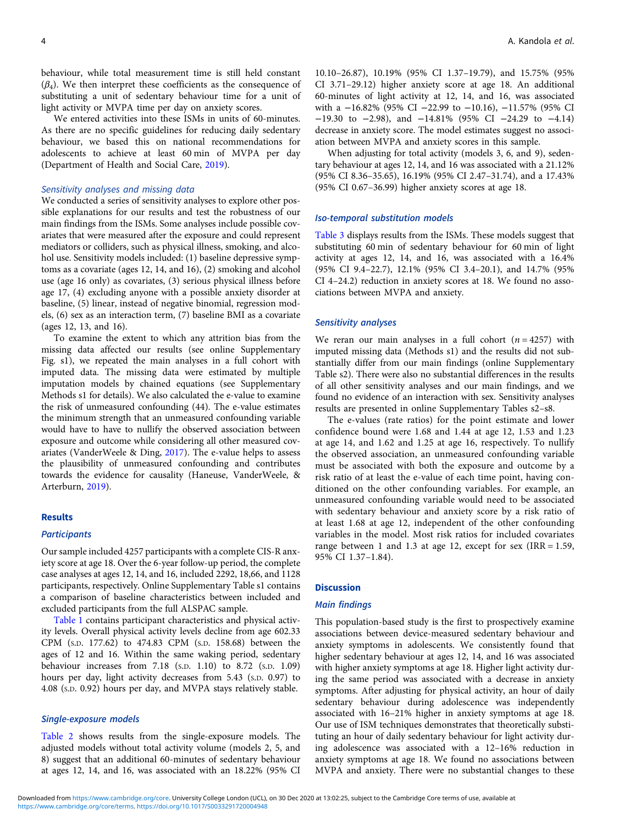behaviour, while total measurement time is still held constant  $(\beta_4)$ . We then interpret these coefficients as the consequence of substituting a unit of sedentary behaviour time for a unit of light activity or MVPA time per day on anxiety scores.

We entered activities into these ISMs in units of 60-minutes. As there are no specific guidelines for reducing daily sedentary behaviour, we based this on national recommendations for adolescents to achieve at least 60 min of MVPA per day (Department of Health and Social Care, [2019\)](#page-7-0).

#### Sensitivity analyses and missing data

We conducted a series of sensitivity analyses to explore other possible explanations for our results and test the robustness of our main findings from the ISMs. Some analyses include possible covariates that were measured after the exposure and could represent mediators or colliders, such as physical illness, smoking, and alcohol use. Sensitivity models included: (1) baseline depressive symptoms as a covariate (ages 12, 14, and 16), (2) smoking and alcohol use (age 16 only) as covariates, (3) serious physical illness before age 17, (4) excluding anyone with a possible anxiety disorder at baseline, (5) linear, instead of negative binomial, regression models, (6) sex as an interaction term, (7) baseline BMI as a covariate (ages 12, 13, and 16).

To examine the extent to which any attrition bias from the missing data affected our results (see online Supplementary Fig. s1), we repeated the main analyses in a full cohort with imputed data. The missing data were estimated by multiple imputation models by chained equations (see Supplementary Methods s1 for details). We also calculated the e-value to examine the risk of unmeasured confounding (44). The e-value estimates the minimum strength that an unmeasured confounding variable would have to have to nullify the observed association between exposure and outcome while considering all other measured covariates (VanderWeele & Ding, [2017](#page-9-0)). The e-value helps to assess the plausibility of unmeasured confounding and contributes towards the evidence for causality (Haneuse, VanderWeele, & Arterburn, [2019\)](#page-8-0).

#### Results

#### **Participants**

Our sample included 4257 participants with a complete CIS-R anxiety score at age 18. Over the 6-year follow-up period, the complete case analyses at ages 12, 14, and 16, included 2292, 18,66, and 1128 participants, respectively. Online Supplementary Table s1 contains a comparison of baseline characteristics between included and excluded participants from the full ALSPAC sample.

[Table 1](#page-4-0) contains participant characteristics and physical activity levels. Overall physical activity levels decline from age 602.33 CPM (S.D. 177.62) to 474.83 CPM (S.D. 158.68) between the ages of 12 and 16. Within the same waking period, sedentary behaviour increases from 7.18 (S.D. 1.10) to 8.72 (S.D. 1.09) hours per day, light activity decreases from 5.43 (S.D. 0.97) to 4.08 (S.D. 0.92) hours per day, and MVPA stays relatively stable.

# Single-exposure models

[Table 2](#page-5-0) shows results from the single-exposure models. The adjusted models without total activity volume (models 2, 5, and 8) suggest that an additional 60-minutes of sedentary behaviour at ages 12, 14, and 16, was associated with an 18.22% (95% CI

10.10–26.87), 10.19% (95% CI 1.37–19.79), and 15.75% (95% CI 3.71–29.12) higher anxiety score at age 18. An additional 60-minutes of light activity at 12, 14, and 16, was associated with a -16.82% (95% CI -22.99 to -10.16), -11.57% (95% CI −19.30 to −2.98), and −14.81% (95% CI −24.29 to −4.14) decrease in anxiety score. The model estimates suggest no association between MVPA and anxiety scores in this sample.

When adjusting for total activity (models 3, 6, and 9), sedentary behaviour at ages 12, 14, and 16 was associated with a 21.12% (95% CI 8.36–35.65), 16.19% (95% CI 2.47–31.74), and a 17.43% (95% CI 0.67–36.99) higher anxiety scores at age 18.

#### Iso-temporal substitution models

[Table 3](#page-6-0) displays results from the ISMs. These models suggest that substituting 60 min of sedentary behaviour for 60 min of light activity at ages 12, 14, and 16, was associated with a 16.4% (95% CI 9.4–22.7), 12.1% (95% CI 3.4–20.1), and 14.7% (95% CI 4–24.2) reduction in anxiety scores at 18. We found no associations between MVPA and anxiety.

#### Sensitivity analyses

We reran our main analyses in a full cohort  $(n = 4257)$  with imputed missing data (Methods s1) and the results did not substantially differ from our main findings (online Supplementary Table s2). There were also no substantial differences in the results of all other sensitivity analyses and our main findings, and we found no evidence of an interaction with sex. Sensitivity analyses results are presented in online Supplementary Tables s2–s8.

The e-values (rate ratios) for the point estimate and lower confidence bound were 1.68 and 1.44 at age 12, 1.53 and 1.23 at age 14, and 1.62 and 1.25 at age 16, respectively. To nullify the observed association, an unmeasured confounding variable must be associated with both the exposure and outcome by a risk ratio of at least the e-value of each time point, having conditioned on the other confounding variables. For example, an unmeasured confounding variable would need to be associated with sedentary behaviour and anxiety score by a risk ratio of at least 1.68 at age 12, independent of the other confounding variables in the model. Most risk ratios for included covariates range between 1 and 1.3 at age 12, except for sex  $\text{IRR} = 1.59$ , 95% CI 1.37–1.84).

#### **Discussion**

#### Main findings

This population-based study is the first to prospectively examine associations between device-measured sedentary behaviour and anxiety symptoms in adolescents. We consistently found that higher sedentary behaviour at ages 12, 14, and 16 was associated with higher anxiety symptoms at age 18. Higher light activity during the same period was associated with a decrease in anxiety symptoms. After adjusting for physical activity, an hour of daily sedentary behaviour during adolescence was independently associated with 16–21% higher in anxiety symptoms at age 18. Our use of ISM techniques demonstrates that theoretically substituting an hour of daily sedentary behaviour for light activity during adolescence was associated with a 12–16% reduction in anxiety symptoms at age 18. We found no associations between MVPA and anxiety. There were no substantial changes to these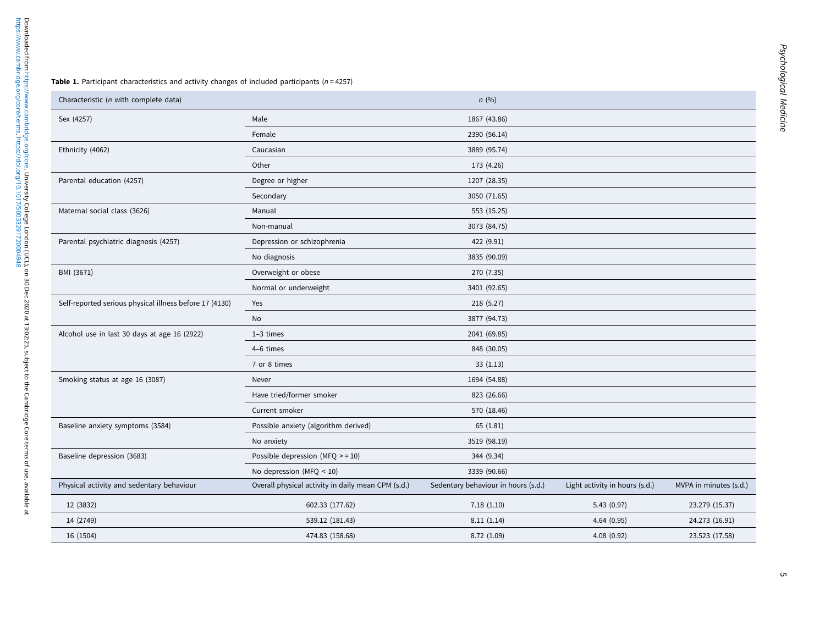<span id="page-4-0"></span>

| Characteristic (n with complete data)                   |                                                    | n(%)                                |                                |                        |  |  |
|---------------------------------------------------------|----------------------------------------------------|-------------------------------------|--------------------------------|------------------------|--|--|
| Sex (4257)                                              | Male                                               | 1867 (43.86)                        |                                |                        |  |  |
|                                                         | Female                                             | 2390 (56.14)                        |                                |                        |  |  |
| Ethnicity (4062)                                        | Caucasian                                          | 3889 (95.74)                        |                                |                        |  |  |
|                                                         | Other                                              | 173 (4.26)                          |                                |                        |  |  |
| Parental education (4257)                               | Degree or higher                                   | 1207 (28.35)                        |                                |                        |  |  |
|                                                         | Secondary                                          | 3050 (71.65)                        |                                |                        |  |  |
| Maternal social class (3626)                            | Manual                                             | 553 (15.25)                         |                                |                        |  |  |
|                                                         | Non-manual                                         | 3073 (84.75)                        |                                |                        |  |  |
| Parental psychiatric diagnosis (4257)                   | Depression or schizophrenia                        | 422 (9.91)                          |                                |                        |  |  |
|                                                         | No diagnosis                                       | 3835 (90.09)                        |                                |                        |  |  |
| BMI (3671)                                              | Overweight or obese                                | 270 (7.35)                          |                                |                        |  |  |
|                                                         | Normal or underweight                              | 3401 (92.65)                        |                                |                        |  |  |
| Self-reported serious physical illness before 17 (4130) | Yes                                                | 218 (5.27)                          |                                |                        |  |  |
|                                                         | No                                                 | 3877 (94.73)                        |                                |                        |  |  |
| Alcohol use in last 30 days at age 16 (2922)            | $1-3$ times                                        | 2041 (69.85)                        |                                |                        |  |  |
|                                                         | 4-6 times                                          | 848 (30.05)                         |                                |                        |  |  |
|                                                         | 7 or 8 times                                       | 33(1.13)                            |                                |                        |  |  |
| Smoking status at age 16 (3087)                         | Never                                              | 1694 (54.88)                        |                                |                        |  |  |
|                                                         | Have tried/former smoker                           | 823 (26.66)                         |                                |                        |  |  |
|                                                         | Current smoker                                     | 570 (18.46)                         |                                |                        |  |  |
| Baseline anxiety symptoms (3584)                        | Possible anxiety (algorithm derived)               | 65(1.81)                            |                                |                        |  |  |
|                                                         | No anxiety                                         | 3519 (98.19)                        |                                |                        |  |  |
| Baseline depression (3683)                              | Possible depression (MFQ $>$ = 10)                 | 344 (9.34)                          |                                |                        |  |  |
|                                                         | No depression (MFQ $\leq$ 10)                      | 3339 (90.66)                        |                                |                        |  |  |
| Physical activity and sedentary behaviour               | Overall physical activity in daily mean CPM (s.d.) | Sedentary behaviour in hours (s.d.) | Light activity in hours (s.d.) | MVPA in minutes (s.d.) |  |  |
| 12 (3832)                                               | 602.33 (177.62)                                    | 7.18(1.10)                          | 5.43(0.97)                     | 23.279 (15.37)         |  |  |
| 14 (2749)                                               | 539.12 (181.43)                                    | 8.11(1.14)                          | 4.64(0.95)                     | 24.273 (16.91)         |  |  |
| 16 (1504)                                               | 474.83 (158.68)                                    | 8.72(1.09)                          | 4.08(0.92)                     | 23.523 (17.58)         |  |  |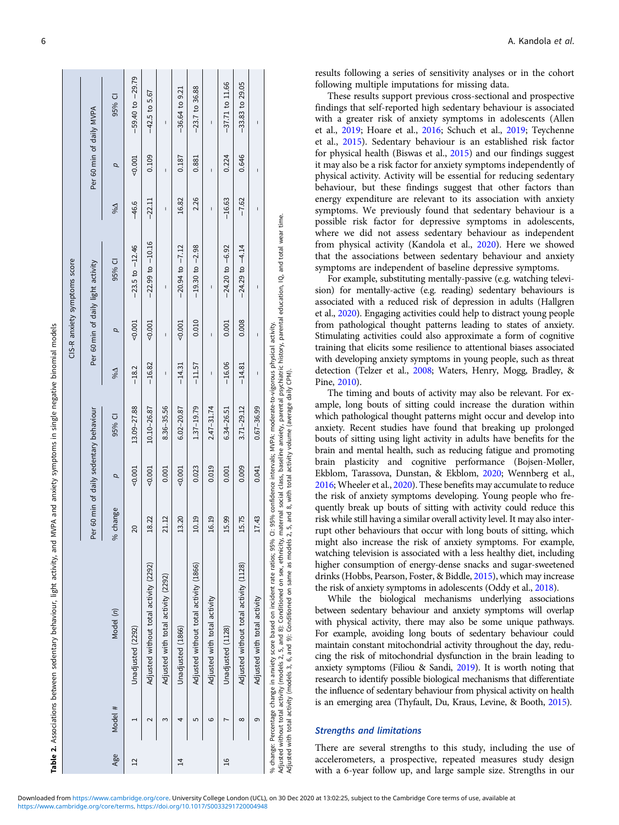|                 |          | Table 2. Associations between sedentary behaviour, light activity, and                                                                                                                                                                                                                                                                                                  |          |          | MVPA and anxiety symptoms in single negative binomial models |                             |              |                                    |                             |                          |                      |
|-----------------|----------|-------------------------------------------------------------------------------------------------------------------------------------------------------------------------------------------------------------------------------------------------------------------------------------------------------------------------------------------------------------------------|----------|----------|--------------------------------------------------------------|-----------------------------|--------------|------------------------------------|-----------------------------|--------------------------|----------------------|
|                 |          |                                                                                                                                                                                                                                                                                                                                                                         |          |          |                                                              |                             |              | CIS-R anxiety symptoms score       |                             |                          |                      |
|                 |          |                                                                                                                                                                                                                                                                                                                                                                         |          |          | Per 60 min of daily sedentary behaviour                      |                             |              | Per 60 min of daily light activity |                             | Per 60 min of daily MVPA |                      |
| Age             | Model #  | Model (n)                                                                                                                                                                                                                                                                                                                                                               | % change | p        | 95% CI                                                       | $\overline{\triangleright}$ | p            | 95% CI                             | $\overline{\triangleright}$ | p                        | 95% CI               |
| $\overline{12}$ |          | Unadjusted (2292)                                                                                                                                                                                                                                                                                                                                                       | 20       | 0.001    | 13.09-27.88                                                  | $-18.2$                     | $-0.001$     | $-23.5$ to $-12.46$                | $-46.6$                     | 0.001                    | $-59.40$ to $-29.79$ |
|                 |          | Adjusted without total activity (2292)                                                                                                                                                                                                                                                                                                                                  | 18.22    | $-0.001$ | 10.10-26.87                                                  | $-16.82$                    | 0.001        | $-22.99$ to $-10.16$               | $-22.11$                    | 0.109                    | $-42.5$ to $5.67$    |
|                 | ო        | Adjusted with total activity (2292)                                                                                                                                                                                                                                                                                                                                     | 21.12    | 0.001    | $8.36 - 35.56$                                               | ı                           | ı            | ı                                  | ı                           | ı                        | ı                    |
| $\vec{a}$       | 4        | Unadjusted (1866)                                                                                                                                                                                                                                                                                                                                                       | 13.20    | $-0.001$ | $6.02 - 20.87$                                               | $-14.31$                    | 0.001        | $-20.94$ to $-7.12$                | 16.82                       | 0.187                    | $-36.64$ to $9.21$   |
|                 | 5        | Adjusted without total activity (1866)                                                                                                                                                                                                                                                                                                                                  | 10.19    | 0.023    | 1.37-19.79                                                   | $-11.57$                    | 0.010        | $-19.30$ to $-2.98$                | 2.26                        | 0.881                    | $-23.7$ to $36.88$   |
|                 | ဖ        | Adjusted with total activity                                                                                                                                                                                                                                                                                                                                            | 16.19    | 0.019    | $2.47 - 31.74$                                               | I                           | I            | I                                  | I                           | Ï                        | I                    |
| $\frac{6}{1}$   |          | Unadjusted (1128)                                                                                                                                                                                                                                                                                                                                                       | 15.99    | 0.001    | 6.34-26.51                                                   | $-16.06$                    | 0.001        | $-24.20$ to $-6.92$                | $-16.63$                    | 0.224                    | $-37.71$ to 11.66    |
|                 | $\infty$ | Adjusted without total activity (1128)                                                                                                                                                                                                                                                                                                                                  | 15.75    | 0.009    | $3.71 - 29.12$                                               | $-14.81$                    | 0.008        | $-24.29$ to $-4.14$                | $-7.62$                     | 0.646                    | $-33.83$ to $29.05$  |
|                 | თ        | Adjusted with total activity                                                                                                                                                                                                                                                                                                                                            | 17.43    | 0.041    | $0.67 - 36.99$                                               | $\mathsf{I}$                | $\mathbf{I}$ | $\mathsf{I}$                       | $\mathbf{I}$                | $\mathbf{I}$             | I                    |
|                 |          | Adjusted without total activity (models 2, 5, and 8): Conditioned on sex, ethnicity, maternal social class, baseline anxiety, parental psychiatric history, parental education, IQ, and total wear time.<br>% change: Percentage change in anxiety score based on incident rate ratios; 95% CI: 95% confidence intervals; MVPA: moderate-to-vigorous physical activity. |          |          |                                                              |                             |              |                                    |                             |                          |                      |

. . . . . . . . .

<span id="page-5-0"></span>

|  | A. Kandola et al.<br>. |
|--|------------------------|
|  |                        |

results following a series of sensitivity analyses or in the cohort following multiple imputations for missing data.

These results support previous cross-sectional and prospective findings that self-reported high sedentary behaviour is associated with a greater risk of anxiety symptoms in adolescents (Allen et al., [2019](#page-7-0); Hoare et al., [2016](#page-8-0); Schuch et al., [2019;](#page-8-0) Teychenne et al., [2015](#page-9-0)). Sedentary behaviour is an established risk factor for physical health (Biswas et al., [2015\)](#page-7-0) and our findings suggest it may also be a risk factor for anxiety symptoms independently of physical activity. Activity will be essential for reducing sedentary behaviour, but these findings suggest that other factors than energy expenditure are relevant to its association with anxiety symptoms. We previously found that sedentary behaviour is a possible risk factor for depressive symptoms in adolescents, where we did not assess sedentary behaviour as independent from physical activity (Kandola et al., [2020](#page-8-0)). Here we showed that the associations between sedentary behaviour and anxiety symptoms are independent of baseline depressive symptoms.

For example, substituting mentally-passive (e.g. watching television) for mentally-active (e.g. reading) sedentary behaviours is associated with a reduced risk of depression in adults (Hallgren et al., [2020](#page-8-0)). Engaging activities could help to distract young people from pathological thought patterns leading to states of anxiety. Stimulating activities could also approximate a form of cognitive training that elicits some resilience to attentional biases associated with developing anxiety symptoms in young people, such as threat detection (Telzer et al., [2008;](#page-9-0) Waters, Henry, Mogg, Bradley, & Pine, [2010\)](#page-9-0).

The timing and bouts of activity may also be relevant. For example, long bouts of sitting could increase the duration within which pathological thought patterns might occur and develop into anxiety. Recent studies have found that breaking up prolonged bouts of sitting using light activity in adults have benefits for the brain and mental health, such as reducing fatigue and promoting brain plasticity and cognitive performance (Bojsen-Møller, Ekblom, Tarassova, Dunstan, & Ekblom, [2020;](#page-7-0) Wennberg et al., [2016](#page-9-0); Wheeler et al., [2020\)](#page-9-0). These benefits may accumulate to reduce the risk of anxiety symptoms developing. Young people who frequently break up bouts of sitting with activity could reduce this risk while still having a similar overall activity level. It may also interrupt other behaviours that occur with long bouts of sitting, which might also increase the risk of anxiety symptoms. For example, watching television is associated with a less healthy diet, including higher consumption of energy-dense snacks and sugar-sweetened drinks (Hobbs, Pearson, Foster, & Biddle, [2015\)](#page-8-0), which may increase the risk of anxiety symptoms in adolescents (Oddy et al., [2018\)](#page-8-0).

While the biological mechanisms underlying associations between sedentary behaviour and anxiety symptoms will overlap with physical activity, there may also be some unique pathways. For example, avoiding long bouts of sedentary behaviour could maintain constant mitochondrial activity throughout the day, reducing the risk of mitochondrial dysfunction in the brain leading to anxiety symptoms (Filiou & Sandi, [2019](#page-7-0)). It is worth noting that research to identify possible biological mechanisms that differentiate the influence of sedentary behaviour from physical activity on health is an emerging area (Thyfault, Du, Kraus, Levine, & Booth, [2015](#page-9-0)).

# Strengths and limitations

There are several strengths to this study, including the use of accelerometers, a prospective, repeated measures study design with a 6-year follow up, and large sample size. Strengths in our

Adjusted with total activity (models 3, 6, and 9): Conditioned on same as models 2, 5, and 8, with total activity volume (average daily CPM).

djusted with total activity (models 3, 6, and 9): Conditioned on same as models 2, 5, and 8, with total activity volume (average daily CPM).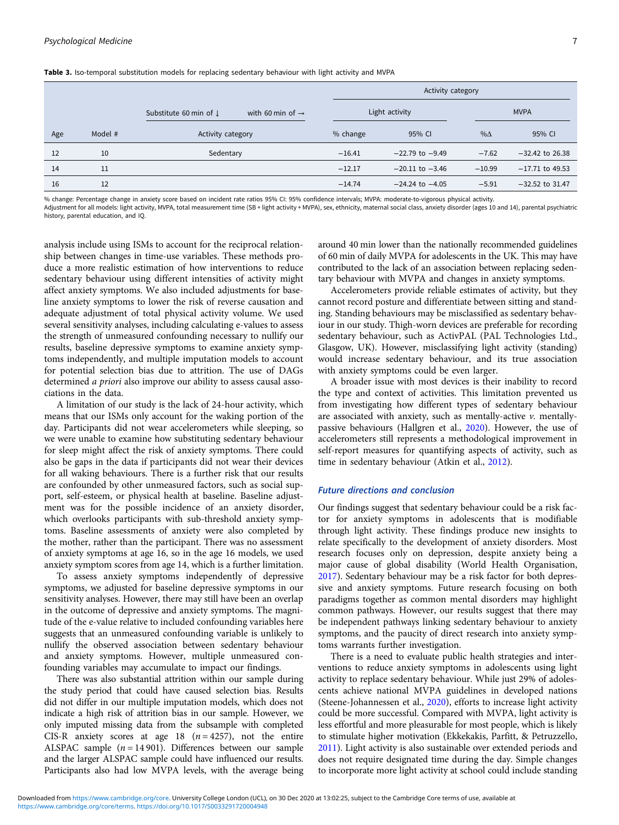<span id="page-6-0"></span>Table 3. Iso-temporal substitution models for replacing sedentary behaviour with light activity and MVPA

|     |         |                                                                   |          | Activity category   |             |                   |
|-----|---------|-------------------------------------------------------------------|----------|---------------------|-------------|-------------------|
|     |         | with 60 min of $\rightarrow$<br>Substitute 60 min of $\downarrow$ |          | Light activity      |             | <b>MVPA</b>       |
| Age | Model # | Activity category                                                 | % change | 95% CI              | $\% \Delta$ | 95% CI            |
| 12  | 10      | Sedentary                                                         | $-16.41$ | $-22.79$ to $-9.49$ | $-7.62$     | $-32.42$ to 26.38 |
| 14  | 11      |                                                                   | $-12.17$ | $-20.11$ to $-3.46$ | $-10.99$    | $-17.71$ to 49.53 |
| 16  | 12      |                                                                   | $-14.74$ | $-24.24$ to $-4.05$ | $-5.91$     | $-32.52$ to 31.47 |

% change: Percentage change in anxiety score based on incident rate ratios 95% CI: 95% confidence intervals; MVPA: moderate-to-vigorous physical activity.

Adjustment for all models: light activity, MVPA, total measurement time (SB + light activity + MVPA), sex, ethnicity, maternal social class, anxiety disorder (ages 10 and 14), parental psychiatric history, parental education, and IQ.

analysis include using ISMs to account for the reciprocal relationship between changes in time-use variables. These methods produce a more realistic estimation of how interventions to reduce sedentary behaviour using different intensities of activity might affect anxiety symptoms. We also included adjustments for baseline anxiety symptoms to lower the risk of reverse causation and adequate adjustment of total physical activity volume. We used several sensitivity analyses, including calculating e-values to assess the strength of unmeasured confounding necessary to nullify our results, baseline depressive symptoms to examine anxiety symptoms independently, and multiple imputation models to account for potential selection bias due to attrition. The use of DAGs determined a priori also improve our ability to assess causal associations in the data.

A limitation of our study is the lack of 24-hour activity, which means that our ISMs only account for the waking portion of the day. Participants did not wear accelerometers while sleeping, so we were unable to examine how substituting sedentary behaviour for sleep might affect the risk of anxiety symptoms. There could also be gaps in the data if participants did not wear their devices for all waking behaviours. There is a further risk that our results are confounded by other unmeasured factors, such as social support, self-esteem, or physical health at baseline. Baseline adjustment was for the possible incidence of an anxiety disorder, which overlooks participants with sub-threshold anxiety symptoms. Baseline assessments of anxiety were also completed by the mother, rather than the participant. There was no assessment of anxiety symptoms at age 16, so in the age 16 models, we used anxiety symptom scores from age 14, which is a further limitation.

To assess anxiety symptoms independently of depressive symptoms, we adjusted for baseline depressive symptoms in our sensitivity analyses. However, there may still have been an overlap in the outcome of depressive and anxiety symptoms. The magnitude of the e-value relative to included confounding variables here suggests that an unmeasured confounding variable is unlikely to nullify the observed association between sedentary behaviour and anxiety symptoms. However, multiple unmeasured confounding variables may accumulate to impact our findings.

There was also substantial attrition within our sample during the study period that could have caused selection bias. Results did not differ in our multiple imputation models, which does not indicate a high risk of attrition bias in our sample. However, we only imputed missing data from the subsample with completed CIS-R anxiety scores at age 18  $(n = 4257)$ , not the entire ALSPAC sample  $(n = 14901)$ . Differences between our sample and the larger ALSPAC sample could have influenced our results. Participants also had low MVPA levels, with the average being

around 40 min lower than the nationally recommended guidelines of 60 min of daily MVPA for adolescents in the UK. This may have contributed to the lack of an association between replacing sedentary behaviour with MVPA and changes in anxiety symptoms.

Accelerometers provide reliable estimates of activity, but they cannot record posture and differentiate between sitting and standing. Standing behaviours may be misclassified as sedentary behaviour in our study. Thigh-worn devices are preferable for recording sedentary behaviour, such as ActivPAL (PAL Technologies Ltd., Glasgow, UK). However, misclassifying light activity (standing) would increase sedentary behaviour, and its true association with anxiety symptoms could be even larger.

A broader issue with most devices is their inability to record the type and context of activities. This limitation prevented us from investigating how different types of sedentary behaviour are associated with anxiety, such as mentally-active  $\nu$ . mentallypassive behaviours (Hallgren et al., [2020](#page-8-0)). However, the use of accelerometers still represents a methodological improvement in self-report measures for quantifying aspects of activity, such as time in sedentary behaviour (Atkin et al., [2012\)](#page-7-0).

# Future directions and conclusion

Our findings suggest that sedentary behaviour could be a risk factor for anxiety symptoms in adolescents that is modifiable through light activity. These findings produce new insights to relate specifically to the development of anxiety disorders. Most research focuses only on depression, despite anxiety being a major cause of global disability (World Health Organisation, [2017](#page-9-0)). Sedentary behaviour may be a risk factor for both depressive and anxiety symptoms. Future research focusing on both paradigms together as common mental disorders may highlight common pathways. However, our results suggest that there may be independent pathways linking sedentary behaviour to anxiety symptoms, and the paucity of direct research into anxiety symptoms warrants further investigation.

There is a need to evaluate public health strategies and interventions to reduce anxiety symptoms in adolescents using light activity to replace sedentary behaviour. While just 29% of adolescents achieve national MVPA guidelines in developed nations (Steene-Johannessen et al., [2020](#page-8-0)), efforts to increase light activity could be more successful. Compared with MVPA, light activity is less effortful and more pleasurable for most people, which is likely to stimulate higher motivation (Ekkekakis, Parfitt, & Petruzzello, [2011](#page-7-0)). Light activity is also sustainable over extended periods and does not require designated time during the day. Simple changes to incorporate more light activity at school could include standing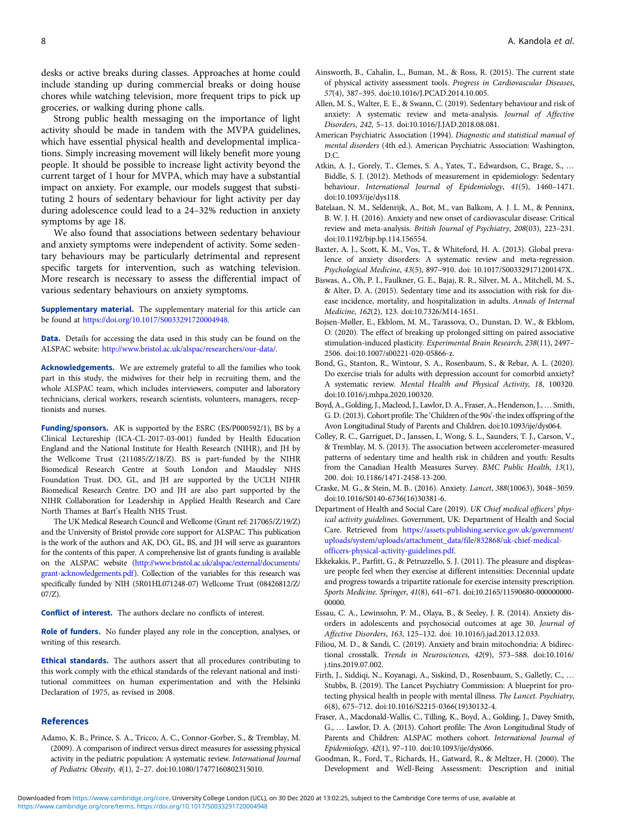<span id="page-7-0"></span>desks or active breaks during classes. Approaches at home could include standing up during commercial breaks or doing house chores while watching television, more frequent trips to pick up groceries, or walking during phone calls.

Strong public health messaging on the importance of light activity should be made in tandem with the MVPA guidelines, which have essential physical health and developmental implications. Simply increasing movement will likely benefit more young people. It should be possible to increase light activity beyond the current target of 1 hour for MVPA, which may have a substantial impact on anxiety. For example, our models suggest that substituting 2 hours of sedentary behaviour for light activity per day during adolescence could lead to a 24–32% reduction in anxiety symptoms by age 18.

We also found that associations between sedentary behaviour and anxiety symptoms were independent of activity. Some sedentary behaviours may be particularly detrimental and represent specific targets for intervention, such as watching television. More research is necessary to assess the differential impact of various sedentary behaviours on anxiety symptoms.

Supplementary material. The supplementary material for this article can be found at <https://doi.org/10.1017/S0033291720004948>.

Data. Details for accessing the data used in this study can be found on the ALSPAC website: <http://www.bristol.ac.uk/alspac/researchers/our-data/>.

Acknowledgements. We are extremely grateful to all the families who took part in this study, the midwives for their help in recruiting them, and the whole ALSPAC team, which includes interviewers, computer and laboratory technicians, clerical workers, research scientists, volunteers, managers, receptionists and nurses.

Funding/sponsors. AK is supported by the ESRC (ES/P000592/1), BS by a Clinical Lectureship (ICA-CL-2017-03-001) funded by Health Education England and the National Institute for Health Research (NIHR), and JH by the Wellcome Trust (211085/Z/18/Z). BS is part-funded by the NIHR Biomedical Research Centre at South London and Maudsley NHS Foundation Trust. DO, GL, and JH are supported by the UCLH NIHR Biomedical Research Centre. DO and JH are also part supported by the NIHR Collaboration for Leadership in Applied Health Research and Care North Thames at Bart's Health NHS Trust.

The UK Medical Research Council and Wellcome (Grant ref: 217065/Z/19/Z) and the University of Bristol provide core support for ALSPAC. This publication is the work of the authors and AK, DO, GL, BS, and JH will serve as guarantors for the contents of this paper. A comprehensive list of grants funding is available on the ALSPAC website ([http://www.bristol.ac.uk/alspac/external/documents/](http://www.bristol.ac.uk/alspac/external/documents/grant-acknowledgements.pdf) [grant-acknowledgements.pdf](http://www.bristol.ac.uk/alspac/external/documents/grant-acknowledgements.pdf)). Collection of the variables for this research was specifically funded by NIH (5R01HL071248-07) Wellcome Trust (08426812/Z/ 07/Z).

Conflict of interest. The authors declare no conflicts of interest.

Role of funders. No funder played any role in the conception, analyses, or writing of this research.

Ethical standards. The authors assert that all procedures contributing to this work comply with the ethical standards of the relevant national and institutional committees on human experimentation and with the Helsinki Declaration of 1975, as revised in 2008.

## References

Adamo, K. B., Prince, S. A., Tricco, A. C., Connor-Gorber, S., & Tremblay, M. (2009). A comparison of indirect versus direct measures for assessing physical activity in the pediatric population: A systematic review. International Journal of Pediatric Obesity, 4(1), 2–27. doi:10.1080/17477160802315010.

- Ainsworth, B., Cahalin, L., Buman, M., & Ross, R. (2015). The current state of physical activity assessment tools. Progress in Cardiovascular Diseases, 57(4), 387–395. doi:10.1016/J.PCAD.2014.10.005.
- Allen, M. S., Walter, E. E., & Swann, C. (2019). Sedentary behaviour and risk of anxiety: A systematic review and meta-analysis. Journal of Affective Disorders, 242, 5–13. doi:10.1016/J.JAD.2018.08.081.
- American Psychiatric Association (1994). Diagnostic and statistical manual of mental disorders (4th ed.). American Psychiatric Association: Washington,  $D.C.$
- Atkin, A. J., Gorely, T., Clemes, S. A., Yates, T., Edwardson, C., Brage, S., … Biddle, S. J. (2012). Methods of measurement in epidemiology: Sedentary behaviour. International Journal of Epidemiology, 41(5), 1460–1471. doi:10.1093/ije/dys118.
- Batelaan, N. M., Seldenrijk, A., Bot, M., van Balkom, A. J. L. M., & Penninx, B. W. J. H. (2016). Anxiety and new onset of cardiovascular disease: Critical review and meta-analysis. British Journal of Psychiatry, 208(03), 223–231. doi:10.1192/bjp.bp.114.156554.
- Baxter, A. J., Scott, K. M., Vos, T., & Whiteford, H. A. (2013). Global prevalence of anxiety disorders: A systematic review and meta-regression. Psychological Medicine, 43(5), 897–910. doi: 10.1017/S003329171200147X..
- Biswas, A., Oh, P. I., Faulkner, G. E., Bajaj, R. R., Silver, M. A., Mitchell, M. S., & Alter, D. A. (2015). Sedentary time and its association with risk for disease incidence, mortality, and hospitalization in adults. Annals of Internal Medicine, 162(2), 123. doi:10.7326/M14-1651.
- Bojsen-Møller, E., Ekblom, M. M., Tarassova, O., Dunstan, D. W., & Ekblom, O. (2020). The effect of breaking up prolonged sitting on paired associative stimulation-induced plasticity. Experimental Brain Research, 238(11), 2497– 2506. doi:10.1007/s00221-020-05866-z.
- Bond, G., Stanton, R., Wintour, S. A., Rosenbaum, S., & Rebar, A. L. (2020). Do exercise trials for adults with depression account for comorbid anxiety? A systematic review. Mental Health and Physical Activity, 18, 100320. doi:10.1016/j.mhpa.2020.100320.
- Boyd, A., Golding, J., Macleod, J., Lawlor, D. A., Fraser, A., Henderson, J.,…Smith, G. D. (2013). Cohort profile: The 'Children of the 90s'-the index offspring of the Avon Longitudinal Study of Parents and Children. doi:10.1093/ije/dys064.
- Colley, R. C., Garriguet, D., Janssen, I., Wong, S. L., Saunders, T. J., Carson, V., & Tremblay, M. S. (2013). The association between accelerometer-measured patterns of sedentary time and health risk in children and youth: Results from the Canadian Health Measures Survey. BMC Public Health, 13(1), 200. doi: 10.1186/1471-2458-13-200.
- Craske, M. G., & Stein, M. B.. (2016). Anxiety. Lancet, 388(10063), 3048–3059. doi:10.1016/S0140-6736(16)30381-6.
- Department of Health and Social Care (2019). UK Chief medical officers' physical activity guidelines. Government, UK: Department of Health and Social Care. Retrieved from [https://assets.publishing.service.gov.uk/government/](https://assets.publishing.service.gov.uk/government/uploads/system/uploads/attachment_data/file/832868/uk-chief-medical-officers-physical-activity-guidelines.pdf) [uploads/system/uploads/attachment\\_data/file/832868/uk-chief-medical](https://assets.publishing.service.gov.uk/government/uploads/system/uploads/attachment_data/file/832868/uk-chief-medical-officers-physical-activity-guidelines.pdf)[officers-physical-activity-guidelines.pdf.](https://assets.publishing.service.gov.uk/government/uploads/system/uploads/attachment_data/file/832868/uk-chief-medical-officers-physical-activity-guidelines.pdf)
- Ekkekakis, P., Parfitt, G., & Petruzzello, S. J. (2011). The pleasure and displeasure people feel when they exercise at different intensities: Decennial update and progress towards a tripartite rationale for exercise intensity prescription. Sports Medicine. Springer, 41(8), 641–671. doi:10.2165/11590680-000000000- 00000.
- Essau, C. A., Lewinsohn, P. M., Olaya, B., & Seeley, J. R. (2014). Anxiety disorders in adolescents and psychosocial outcomes at age 30. Journal of Affective Disorders, 163, 125–132. doi: 10.1016/j.jad.2013.12.033.
- Filiou, M. D., & Sandi, C. (2019). Anxiety and brain mitochondria: A bidirectional crosstalk. Trends in Neurosciences, 42(9), 573–588. doi:10.1016/ j.tins.2019.07.002.
- Firth, J., Siddiqi, N., Koyanagi, A., Siskind, D., Rosenbaum, S., Galletly, C., … Stubbs, B. (2019). The Lancet Psychiatry Commission: A blueprint for protecting physical health in people with mental illness. The Lancet. Psychiatry, 6(8), 675–712. doi:10.1016/S2215-0366(19)30132-4.
- Fraser, A., Macdonald-Wallis, C., Tilling, K., Boyd, A., Golding, J., Davey Smith, G., … Lawlor, D. A. (2013). Cohort profile: The Avon Longitudinal Study of Parents and Children: ALSPAC mothers cohort. International Journal of Epidemiology, 42(1), 97–110. doi:10.1093/ije/dys066.
- Goodman, R., Ford, T., Richards, H., Gatward, R., & Meltzer, H. (2000). The Development and Well-Being Assessment: Description and initial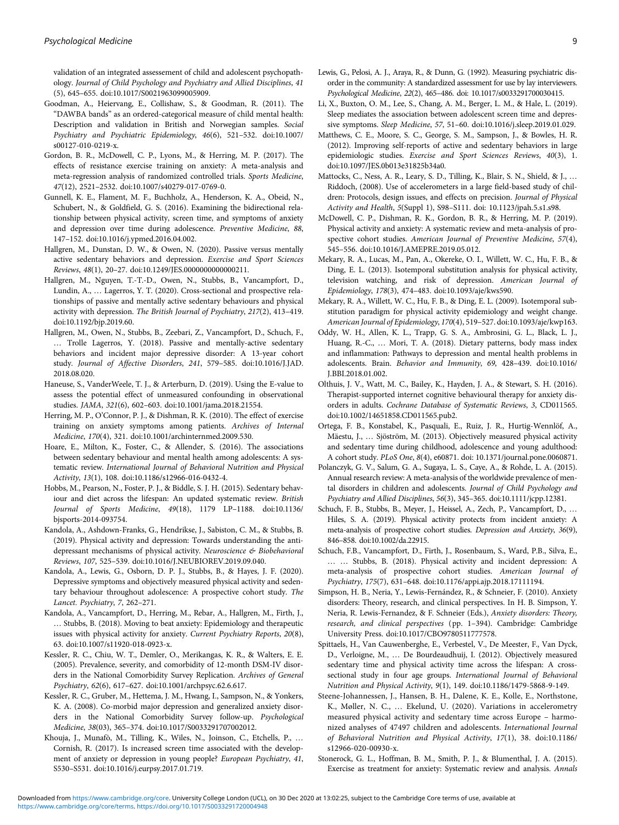<span id="page-8-0"></span>validation of an integrated assessement of child and adolescent psychopathology. Journal of Child Psychology and Psychiatry and Allied Disciplines, 41 (5), 645–655. doi:10.1017/S0021963099005909.

- Goodman, A., Heiervang, E., Collishaw, S., & Goodman, R. (2011). The "DAWBA bands" as an ordered-categorical measure of child mental health: Description and validation in British and Norwegian samples. Social Psychiatry and Psychiatric Epidemiology, 46(6), 521–532. doi:10.1007/ s00127-010-0219-x.
- Gordon, B. R., McDowell, C. P., Lyons, M., & Herring, M. P. (2017). The effects of resistance exercise training on anxiety: A meta-analysis and meta-regression analysis of randomized controlled trials. Sports Medicine, 47(12), 2521–2532. doi:10.1007/s40279-017-0769-0.
- Gunnell, K. E., Flament, M. F., Buchholz, A., Henderson, K. A., Obeid, N., Schubert, N., & Goldfield, G. S. (2016). Examining the bidirectional relationship between physical activity, screen time, and symptoms of anxiety and depression over time during adolescence. Preventive Medicine, 88, 147–152. doi:10.1016/j.ypmed.2016.04.002.
- Hallgren, M., Dunstan, D. W., & Owen, N. (2020). Passive versus mentally active sedentary behaviors and depression. Exercise and Sport Sciences Reviews, 48(1), 20–27. doi:10.1249/JES.0000000000000211.
- Hallgren, M., Nguyen, T.-T.-D., Owen, N., Stubbs, B., Vancampfort, D., Lundin, A., … Lagerros, Y. T. (2020). Cross-sectional and prospective relationships of passive and mentally active sedentary behaviours and physical activity with depression. The British Journal of Psychiatry, 217(2), 413–419. doi:10.1192/bjp.2019.60.
- Hallgren, M., Owen, N., Stubbs, B., Zeebari, Z., Vancampfort, D., Schuch, F., … Trolle Lagerros, Y. (2018). Passive and mentally-active sedentary behaviors and incident major depressive disorder: A 13-year cohort study. Journal of Affective Disorders, 241, 579–585. doi:10.1016/J.JAD. 2018.08.020.
- Haneuse, S., VanderWeele, T. J., & Arterburn, D. (2019). Using the E-value to assess the potential effect of unmeasured confounding in observational studies. JAMA, 321(6), 602–603. doi:10.1001/jama.2018.21554.
- Herring, M. P., O'Connor, P. J., & Dishman, R. K. (2010). The effect of exercise training on anxiety symptoms among patients. Archives of Internal Medicine, 170(4), 321. doi:10.1001/archinternmed.2009.530.
- Hoare, E., Milton, K., Foster, C., & Allender, S. (2016). The associations between sedentary behaviour and mental health among adolescents: A systematic review. International Journal of Behavioral Nutrition and Physical Activity, 13(1), 108. doi:10.1186/s12966-016-0432-4.
- Hobbs, M., Pearson, N., Foster, P. J., & Biddle, S. J. H. (2015). Sedentary behaviour and diet across the lifespan: An updated systematic review. British Journal of Sports Medicine, 49(18), 1179 LP–1188. doi:10.1136/ bjsports-2014-093754.
- Kandola, A., Ashdown-Franks, G., Hendrikse, J., Sabiston, C. M., & Stubbs, B. (2019). Physical activity and depression: Towards understanding the antidepressant mechanisms of physical activity. Neuroscience & Biobehavioral Reviews, 107, 525–539. doi:10.1016/J.NEUBIOREV.2019.09.040.
- Kandola, A., Lewis, G., Osborn, D. P. J., Stubbs, B., & Hayes, J. F. (2020). Depressive symptoms and objectively measured physical activity and sedentary behaviour throughout adolescence: A prospective cohort study. The Lancet. Psychiatry, 7, 262–271.
- Kandola, A., Vancampfort, D., Herring, M., Rebar, A., Hallgren, M., Firth, J., … Stubbs, B. (2018). Moving to beat anxiety: Epidemiology and therapeutic issues with physical activity for anxiety. Current Psychiatry Reports, 20(8), 63. doi:10.1007/s11920-018-0923-x.
- Kessler, R. C., Chiu, W. T., Demler, O., Merikangas, K. R., & Walters, E. E. (2005). Prevalence, severity, and comorbidity of 12-month DSM-IV disorders in the National Comorbidity Survey Replication. Archives of General Psychiatry, 62(6), 617–627. doi:10.1001/archpsyc.62.6.617.
- Kessler, R. C., Gruber, M., Hettema, J. M., Hwang, I., Sampson, N., & Yonkers, K. A. (2008). Co-morbid major depression and generalized anxiety disorders in the National Comorbidity Survey follow-up. Psychological Medicine, 38(03), 365–374. doi:10.1017/S0033291707002012.
- Khouja, J., Munafò, M., Tilling, K., Wiles, N., Joinson, C., Etchells, P., … Cornish, R. (2017). Is increased screen time associated with the development of anxiety or depression in young people? European Psychiatry, 41, S530–S531. doi:10.1016/j.eurpsy.2017.01.719.
- Lewis, G., Pelosi, A. J., Araya, R., & Dunn, G. (1992). Measuring psychiatric disorder in the community: A standardized assessment for use by lay interviewers. Psychological Medicine, 22(2), 465–486. doi: 10.1017/s0033291700030415.
- Li, X., Buxton, O. M., Lee, S., Chang, A. M., Berger, L. M., & Hale, L. (2019). Sleep mediates the association between adolescent screen time and depressive symptoms. Sleep Medicine, 57, 51–60. doi:10.1016/j.sleep.2019.01.029.
- Matthews, C. E., Moore, S. C., George, S. M., Sampson, J., & Bowles, H. R. (2012). Improving self-reports of active and sedentary behaviors in large epidemiologic studies. Exercise and Sport Sciences Reviews, 40(3), 1. doi:10.1097/JES.0b013e31825b34a0.
- Mattocks, C., Ness, A. R., Leary, S. D., Tilling, K., Blair, S. N., Shield, & J., … Riddoch, (2008). Use of accelerometers in a large field-based study of children: Protocols, design issues, and effects on precision. Journal of Physical Activity and Health, 5(Suppl 1), S98–S111. doi: 10.1123/jpah.5.s1.s98.
- McDowell, C. P., Dishman, R. K., Gordon, B. R., & Herring, M. P. (2019). Physical activity and anxiety: A systematic review and meta-analysis of prospective cohort studies. American Journal of Preventive Medicine, 57(4), 545–556. doi:10.1016/J.AMEPRE.2019.05.012.
- Mekary, R. A., Lucas, M., Pan, A., Okereke, O. I., Willett, W. C., Hu, F. B., & Ding, E. L. (2013). Isotemporal substitution analysis for physical activity, television watching, and risk of depression. American Journal of Epidemiology, 178(3), 474–483. doi:10.1093/aje/kws590.
- Mekary, R. A., Willett, W. C., Hu, F. B., & Ding, E. L. (2009). Isotemporal substitution paradigm for physical activity epidemiology and weight change. American Journal of Epidemiology, 170(4), 519–527. doi:10.1093/aje/kwp163.
- Oddy, W. H., Allen, K. L., Trapp, G. S. A., Ambrosini, G. L., Black, L. J., Huang, R.-C., … Mori, T. A. (2018). Dietary patterns, body mass index and inflammation: Pathways to depression and mental health problems in adolescents. Brain. Behavior and Immunity, 69, 428–439. doi:10.1016/ J.BBI.2018.01.002.
- Olthuis, J. V., Watt, M. C., Bailey, K., Hayden, J. A., & Stewart, S. H. (2016). Therapist-supported internet cognitive behavioural therapy for anxiety disorders in adults. Cochrane Database of Systematic Reviews, 3, CD011565. doi:10.1002/14651858.CD011565.pub2.
- Ortega, F. B., Konstabel, K., Pasquali, E., Ruiz, J. R., Hurtig-Wennlöf, A., Mäestu, J., … Sjöström, M. (2013). Objectively measured physical activity and sedentary time during childhood, adolescence and young adulthood: A cohort study. PLoS One, 8(4), e60871. doi: 10.1371/journal.pone.0060871.
- Polanczyk, G. V., Salum, G. A., Sugaya, L. S., Caye, A., & Rohde, L. A. (2015). Annual research review: A meta-analysis of the worldwide prevalence of mental disorders in children and adolescents. Journal of Child Psychology and Psychiatry and Allied Disciplines, 56(3), 345–365. doi:10.1111/jcpp.12381.
- Schuch, F. B., Stubbs, B., Meyer, J., Heissel, A., Zech, P., Vancampfort, D., … Hiles, S. A. (2019). Physical activity protects from incident anxiety: A meta-analysis of prospective cohort studies. Depression and Anxiety, 36(9), 846–858. doi:10.1002/da.22915.
- Schuch, F.B., Vancampfort, D., Firth, J., Rosenbaum, S., Ward, P.B., Silva, E., … … Stubbs, B. (2018). Physical activity and incident depression: A meta-analysis of prospective cohort studies. American Journal of Psychiatry, 175(7), 631–648. doi:10.1176/appi.ajp.2018.17111194.
- Simpson, H. B., Neria, Y., Lewis-Fernández, R., & Schneier, F. (2010). Anxiety disorders: Theory, research, and clinical perspectives. In H. B. Simpson, Y. Neria, R. Lewis-Fernandez, & F. Schneier (Eds.), Anxiety disorders: Theory, research, and clinical perspectives (pp. 1–394). Cambridge: Cambridge University Press. doi:10.1017/CBO9780511777578.
- Spittaels, H., Van Cauwenberghe, E., Verbestel, V., De Meester, F., Van Dyck, D., Verloigne, M., … De Bourdeaudhuij, I. (2012). Objectively measured sedentary time and physical activity time across the lifespan: A crosssectional study in four age groups. International Journal of Behavioral Nutrition and Physical Activity, 9(1), 149. doi:10.1186/1479-5868-9-149.
- Steene-Johannessen, J., Hansen, B. H., Dalene, K. E., Kolle, E., Northstone, K., Møller, N. C., … Ekelund, U. (2020). Variations in accelerometry measured physical activity and sedentary time across Europe – harmonized analyses of 47497 children and adolescents. International Journal of Behavioral Nutrition and Physical Activity, 17(1), 38. doi:10.1186/ s12966-020-00930-x.
- Stonerock, G. L., Hoffman, B. M., Smith, P. J., & Blumenthal, J. A. (2015). Exercise as treatment for anxiety: Systematic review and analysis. Annals